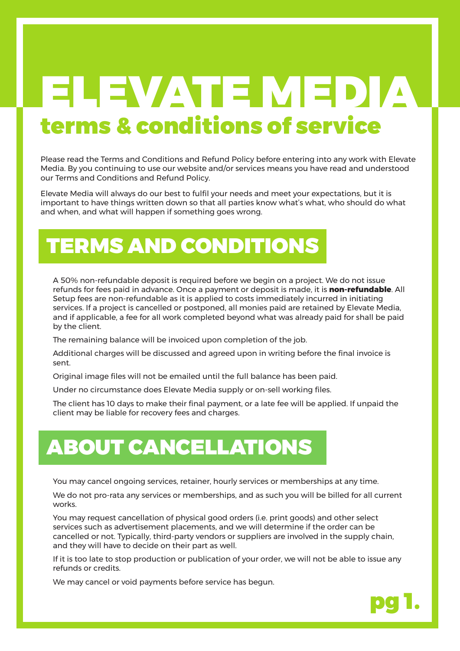## ELEVATE MEDIA terms & conditions of service

Please read the Terms and Conditions and Refund Policy before entering into any work with Elevate Media. By you continuing to use our website and/or services means you have read and understood our Terms and Conditions and Refund Policy.

Elevate Media will always do our best to fulfil your needs and meet your expectations, but it is important to have things written down so that all parties know what's what, who should do what and when, and what will happen if something goes wrong.

### TERMS AND CONDITIONS

A 50% non-refundable deposit is required before we begin on a project. We do not issue refunds for fees paid in advance. Once a payment or deposit is made, it is **non-refundable**. All Setup fees are non-refundable as it is applied to costs immediately incurred in initiating services. If a project is cancelled or postponed, all monies paid are retained by Elevate Media, and if applicable, a fee for all work completed beyond what was already paid for shall be paid by the client.

The remaining balance will be invoiced upon completion of the job.

Additional charges will be discussed and agreed upon in writing before the final invoice is sent.

Original image files will not be emailed until the full balance has been paid.

Under no circumstance does Elevate Media supply or on-sell working files.

The client has 10 days to make their final payment, or a late fee will be applied. If unpaid the client may be liable for recovery fees and charges.

## ABOUT CANCELLATIONS

You may cancel ongoing services, retainer, hourly services or memberships at any time.

We do not pro-rata any services or memberships, and as such you will be billed for all current works.

You may request cancellation of physical good orders (i.e. print goods) and other select services such as advertisement placements, and we will determine if the order can be cancelled or not. Typically, third-party vendors or suppliers are involved in the supply chain, and they will have to decide on their part as well.

If it is too late to stop production or publication of your order, we will not be able to issue any refunds or credits.

We may cancel or void payments before service has begun.